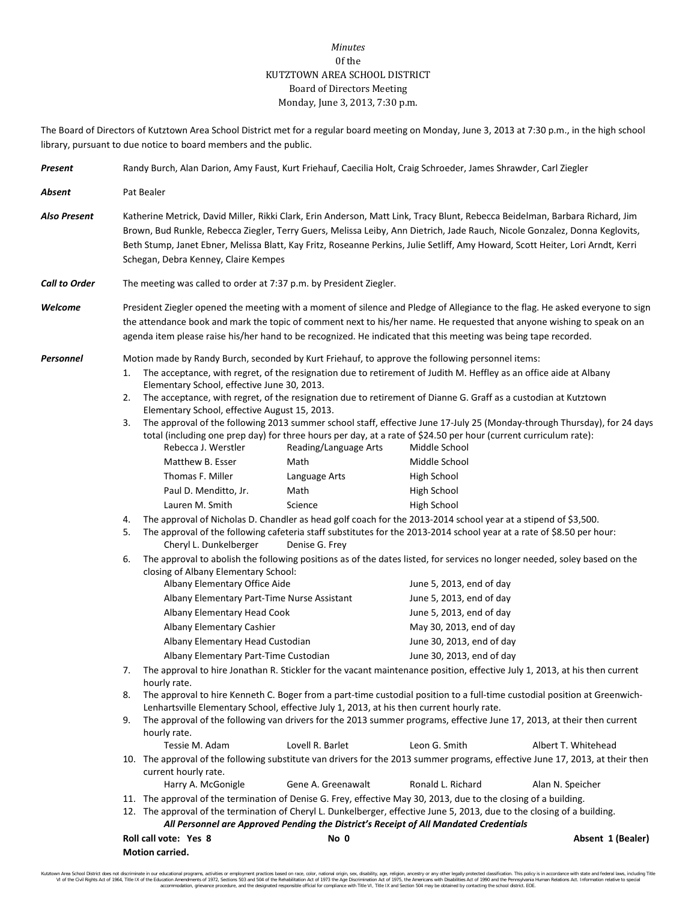## *Minutes* 0f the KUTZTOWN AREA SCHOOL DISTRICT Board of Directors Meeting Monday, June 3, 2013, 7:30 p.m.

The Board of Directors of Kutztown Area School District met for a regular board meeting on Monday, June 3, 2013 at 7:30 p.m., in the high school library, pursuant to due notice to board members and the public.

| Present                                                   | Randy Burch, Alan Darion, Amy Faust, Kurt Friehauf, Caecilia Holt, Craig Schroeder, James Shrawder, Carl Ziegler                                                                                                                                                                                                                                                                                                                       |                                                                                                                                                                                                                                                                                                                                                                                                                                                                                                                                                                                                                                                                                                                                                                                                                                                                                                                                                                                                                                                                                                                                                                                                                                                                                                                                                                                                                                                                                                                                                                                                                                                                                                                                                                                                                                                                                                                                                                                                                                                                                                                                                                                                                                                                                                                                                                                                                                                                                                                                                                                                                                                                                                   |  |                                         |  |  |
|-----------------------------------------------------------|----------------------------------------------------------------------------------------------------------------------------------------------------------------------------------------------------------------------------------------------------------------------------------------------------------------------------------------------------------------------------------------------------------------------------------------|---------------------------------------------------------------------------------------------------------------------------------------------------------------------------------------------------------------------------------------------------------------------------------------------------------------------------------------------------------------------------------------------------------------------------------------------------------------------------------------------------------------------------------------------------------------------------------------------------------------------------------------------------------------------------------------------------------------------------------------------------------------------------------------------------------------------------------------------------------------------------------------------------------------------------------------------------------------------------------------------------------------------------------------------------------------------------------------------------------------------------------------------------------------------------------------------------------------------------------------------------------------------------------------------------------------------------------------------------------------------------------------------------------------------------------------------------------------------------------------------------------------------------------------------------------------------------------------------------------------------------------------------------------------------------------------------------------------------------------------------------------------------------------------------------------------------------------------------------------------------------------------------------------------------------------------------------------------------------------------------------------------------------------------------------------------------------------------------------------------------------------------------------------------------------------------------------------------------------------------------------------------------------------------------------------------------------------------------------------------------------------------------------------------------------------------------------------------------------------------------------------------------------------------------------------------------------------------------------------------------------------------------------------------------------------------------------|--|-----------------------------------------|--|--|
| Absent                                                    | Pat Bealer                                                                                                                                                                                                                                                                                                                                                                                                                             |                                                                                                                                                                                                                                                                                                                                                                                                                                                                                                                                                                                                                                                                                                                                                                                                                                                                                                                                                                                                                                                                                                                                                                                                                                                                                                                                                                                                                                                                                                                                                                                                                                                                                                                                                                                                                                                                                                                                                                                                                                                                                                                                                                                                                                                                                                                                                                                                                                                                                                                                                                                                                                                                                                   |  |                                         |  |  |
| <b>Also Present</b>                                       | Katherine Metrick, David Miller, Rikki Clark, Erin Anderson, Matt Link, Tracy Blunt, Rebecca Beidelman, Barbara Richard, Jim<br>Brown, Bud Runkle, Rebecca Ziegler, Terry Guers, Melissa Leiby, Ann Dietrich, Jade Rauch, Nicole Gonzalez, Donna Keglovits,<br>Beth Stump, Janet Ebner, Melissa Blatt, Kay Fritz, Roseanne Perkins, Julie Setliff, Amy Howard, Scott Heiter, Lori Arndt, Kerri<br>Schegan, Debra Kenney, Claire Kempes |                                                                                                                                                                                                                                                                                                                                                                                                                                                                                                                                                                                                                                                                                                                                                                                                                                                                                                                                                                                                                                                                                                                                                                                                                                                                                                                                                                                                                                                                                                                                                                                                                                                                                                                                                                                                                                                                                                                                                                                                                                                                                                                                                                                                                                                                                                                                                                                                                                                                                                                                                                                                                                                                                                   |  |                                         |  |  |
| <b>Call to Order</b>                                      |                                                                                                                                                                                                                                                                                                                                                                                                                                        | The meeting was called to order at 7:37 p.m. by President Ziegler.                                                                                                                                                                                                                                                                                                                                                                                                                                                                                                                                                                                                                                                                                                                                                                                                                                                                                                                                                                                                                                                                                                                                                                                                                                                                                                                                                                                                                                                                                                                                                                                                                                                                                                                                                                                                                                                                                                                                                                                                                                                                                                                                                                                                                                                                                                                                                                                                                                                                                                                                                                                                                                |  |                                         |  |  |
| Welcome                                                   | President Ziegler opened the meeting with a moment of silence and Pledge of Allegiance to the flag. He asked everyone to sign<br>the attendance book and mark the topic of comment next to his/her name. He requested that anyone wishing to speak on an<br>agenda item please raise his/her hand to be recognized. He indicated that this meeting was being tape recorded.                                                            |                                                                                                                                                                                                                                                                                                                                                                                                                                                                                                                                                                                                                                                                                                                                                                                                                                                                                                                                                                                                                                                                                                                                                                                                                                                                                                                                                                                                                                                                                                                                                                                                                                                                                                                                                                                                                                                                                                                                                                                                                                                                                                                                                                                                                                                                                                                                                                                                                                                                                                                                                                                                                                                                                                   |  |                                         |  |  |
| Personnel<br>1.<br>2.<br>3.<br>4.<br>5.<br>6.<br>8.<br>9. | Rebecca J. Werstler<br>Matthew B. Esser<br>Thomas F. Miller<br>Paul D. Menditto, Jr.<br>Lauren M. Smith<br>Cheryl L. Dunkelberger<br>Albany Elementary Cashier<br>hourly rate.<br>hourly rate.<br>Tessie M. Adam<br>current hourly rate.<br>Harry A. McGonigle                                                                                                                                                                         | Motion made by Randy Burch, seconded by Kurt Friehauf, to approve the following personnel items:<br>The acceptance, with regret, of the resignation due to retirement of Judith M. Heffley as an office aide at Albany<br>Elementary School, effective June 30, 2013.<br>The acceptance, with regret, of the resignation due to retirement of Dianne G. Graff as a custodian at Kutztown<br>Elementary School, effective August 15, 2013.<br>The approval of the following 2013 summer school staff, effective June 17-July 25 (Monday-through Thursday), for 24 days<br>total (including one prep day) for three hours per day, at a rate of \$24.50 per hour (current curriculum rate):<br>Reading/Language Arts<br>Middle School<br>Math<br>Middle School<br>Language Arts<br>High School<br>Math<br>High School<br>Science<br>High School<br>The approval of Nicholas D. Chandler as head golf coach for the 2013-2014 school year at a stipend of \$3,500.<br>The approval of the following cafeteria staff substitutes for the 2013-2014 school year at a rate of \$8.50 per hour:<br>Denise G. Frey<br>The approval to abolish the following positions as of the dates listed, for services no longer needed, soley based on the<br>closing of Albany Elementary School:<br>Albany Elementary Office Aide<br>June 5, 2013, end of day<br>Albany Elementary Part-Time Nurse Assistant<br>June 5, 2013, end of day<br>June 5, 2013, end of day<br>Albany Elementary Head Cook<br>May 30, 2013, end of day<br>Albany Elementary Head Custodian<br>June 30, 2013, end of day<br>Albany Elementary Part-Time Custodian<br>June 30, 2013, end of day<br>The approval to hire Jonathan R. Stickler for the vacant maintenance position, effective July 1, 2013, at his then current<br>The approval to hire Kenneth C. Boger from a part-time custodial position to a full-time custodial position at Greenwich-<br>Lenhartsville Elementary School, effective July 1, 2013, at his then current hourly rate.<br>The approval of the following van drivers for the 2013 summer programs, effective June 17, 2013, at their then current<br>Lovell R. Barlet<br>Leon G. Smith<br>10. The approval of the following substitute van drivers for the 2013 summer programs, effective June 17, 2013, at their then<br>Gene A. Greenawalt<br>Ronald L. Richard<br>11. The approval of the termination of Denise G. Frey, effective May 30, 2013, due to the closing of a building.<br>12. The approval of the termination of Cheryl L. Dunkelberger, effective June 5, 2013, due to the closing of a building.<br>All Personnel are Approved Pending the District's Receipt of All Mandated Credentials |  | Albert T. Whitehead<br>Alan N. Speicher |  |  |

| Roll call vote: Yes 8  | No 0 | Absent 1 (Bealer) |  |  |  |
|------------------------|------|-------------------|--|--|--|
| <b>Motion carried.</b> |      |                   |  |  |  |